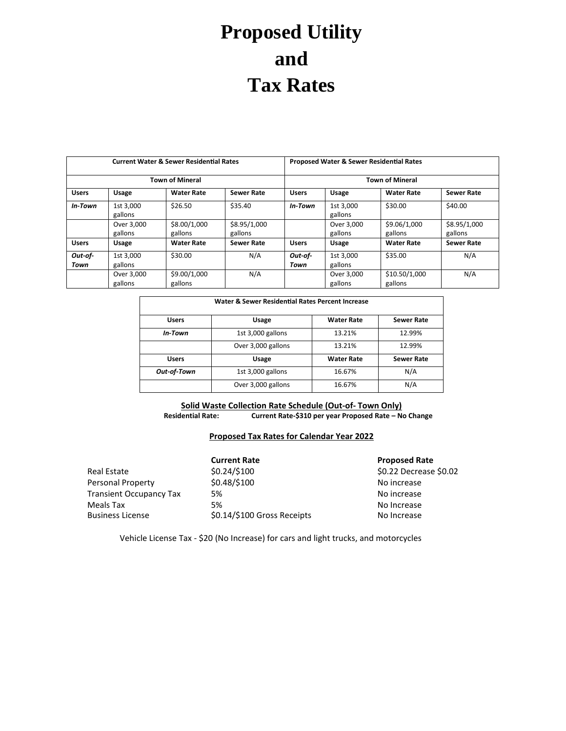## **Proposed Utility and Tax Rates**

| <b>Current Water &amp; Sewer Residential Rates</b> |                       |                         |                         | <b>Proposed Water &amp; Sewer Residential Rates</b><br><b>Town of Mineral</b> |                       |                          |                         |
|----------------------------------------------------|-----------------------|-------------------------|-------------------------|-------------------------------------------------------------------------------|-----------------------|--------------------------|-------------------------|
| <b>Town of Mineral</b>                             |                       |                         |                         |                                                                               |                       |                          |                         |
| <b>Users</b>                                       | Usage                 | <b>Water Rate</b>       | <b>Sewer Rate</b>       | <b>Users</b>                                                                  | <b>Usage</b>          | <b>Water Rate</b>        | <b>Sewer Rate</b>       |
| In-Town                                            | 1st 3.000<br>gallons  | \$26.50                 | \$35.40                 | In-Town                                                                       | 1st 3,000<br>gallons  | \$30.00                  | \$40.00                 |
|                                                    | Over 3,000<br>gallons | \$8.00/1,000<br>gallons | \$8.95/1,000<br>gallons |                                                                               | Over 3,000<br>gallons | \$9.06/1,000<br>gallons  | \$8.95/1,000<br>gallons |
| <b>Users</b>                                       | Usage                 | <b>Water Rate</b>       | <b>Sewer Rate</b>       | <b>Users</b>                                                                  | Usage                 | <b>Water Rate</b>        | <b>Sewer Rate</b>       |
| Out-of-<br>Town                                    | 1st 3.000<br>gallons  | \$30.00                 | N/A                     | Out-of-<br>Town                                                               | 1st 3.000<br>gallons  | \$35.00                  | N/A                     |
|                                                    | Over 3,000<br>gallons | \$9.00/1,000<br>gallons | N/A                     |                                                                               | Over 3,000<br>gallons | \$10.50/1,000<br>gallons | N/A                     |

| Water & Sewer Residential Rates Percent Increase |                    |                   |                   |  |  |
|--------------------------------------------------|--------------------|-------------------|-------------------|--|--|
| <b>Users</b>                                     | Usage              | <b>Water Rate</b> | <b>Sewer Rate</b> |  |  |
| In-Town                                          | 1st 3,000 gallons  | 13.21%            | 12.99%            |  |  |
|                                                  | Over 3,000 gallons | 13.21%            | 12.99%            |  |  |
| <b>Users</b>                                     | Usage              | <b>Water Rate</b> | <b>Sewer Rate</b> |  |  |
| Out-of-Town                                      | 1st 3,000 gallons  | 16.67%            | N/A               |  |  |
|                                                  | Over 3,000 gallons | 16.67%            | N/A               |  |  |

**Solid Waste Collection Rate Schedule (Out-of- Town Only) Residential Rate: Current Rate-\$310 per year Proposed Rate – No Change**

## **Proposed Tax Rates for Calendar Year 2022**

|                                | <b>Current Rate</b>         | <b>Proposed Rate</b>   |
|--------------------------------|-----------------------------|------------------------|
| Real Estate                    | \$0.24/\$100                | \$0.22 Decrease \$0.02 |
| Personal Property              | \$0.48/\$100                | No increase            |
| <b>Transient Occupancy Tax</b> | 5%                          | No increase            |
| Meals Tax                      | 5%                          | No Increase            |
| <b>Business License</b>        | \$0.14/\$100 Gross Receipts | No Increase            |

Vehicle License Tax - \$20 (No Increase) for cars and light trucks, and motorcycles